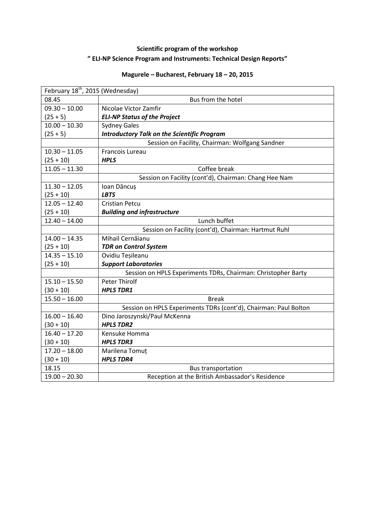## **Scientific program of the workshop " ELI-NP Science Program and Instruments: Technical Design Reports"**

## **Magurele – Bucharest, February 18 – 20, 2015**

| February 18 <sup>th</sup> , 2015 (Wednesday) |                                                                  |
|----------------------------------------------|------------------------------------------------------------------|
| 08.45                                        | Bus from the hotel                                               |
| $09.30 - 10.00$                              | Nicolae Victor Zamfir                                            |
| $(25 + 5)$                                   | <b>ELI-NP Status of the Project</b>                              |
| $10.00 - 10.30$                              | <b>Sydney Gales</b>                                              |
| $(25 + 5)$                                   | <b>Introductory Talk on the Scientific Program</b>               |
|                                              | Session on Facility, Chairman: Wolfgang Sandner                  |
| $10.30 - 11.05$                              | Francois Lureau                                                  |
| $(25 + 10)$                                  | <b>HPLS</b>                                                      |
| $11.05 - 11.30$                              | Coffee break                                                     |
|                                              | Session on Facility (cont'd), Chairman: Chang Hee Nam            |
| $11.30 - 12.05$                              | Ioan Dăncuș                                                      |
| $(25 + 10)$                                  | <b>LBTS</b>                                                      |
| $12.05 - 12.40$                              | <b>Cristian Petcu</b>                                            |
| $(25 + 10)$                                  | <b>Building and infrastructure</b>                               |
| $12.40 - 14.00$                              | Lunch buffet                                                     |
|                                              | Session on Facility (cont'd), Chairman: Hartmut Ruhl             |
| $14.00 - 14.35$                              | Mihail Cernăianu                                                 |
| $(25 + 10)$                                  | <b>TDR on Control System</b>                                     |
| $14.35 - 15.10$                              | Ovidiu Teșileanu                                                 |
| $(25 + 10)$                                  | <b>Support Laboratories</b>                                      |
|                                              | Session on HPLS Experiments TDRs, Chairman: Christopher Barty    |
| $15.10 - 15.50$                              | <b>Peter Thirolf</b>                                             |
| $(30 + 10)$                                  | <b>HPLS TDR1</b>                                                 |
| $15.50 - 16.00$                              | <b>Break</b>                                                     |
|                                              | Session on HPLS Experiments TDRs (cont'd), Chairman: Paul Bolton |
| $16.00 - 16.40$                              | Dino Jaroszynski/Paul McKenna                                    |
| $(30 + 10)$                                  | <b>HPLS TDR2</b>                                                 |
| $16.40 - 17.20$                              | Kensuke Homma                                                    |
| $(30 + 10)$                                  | <b>HPLS TDR3</b>                                                 |
| $17.20 - 18.00$                              | Marilena Tomuț                                                   |
| $(30 + 10)$                                  | <b>HPLS TDR4</b>                                                 |
| 18.15                                        | <b>Bus transportation</b>                                        |
| $19.00 - 20.30$                              | Reception at the British Ambassador's Residence                  |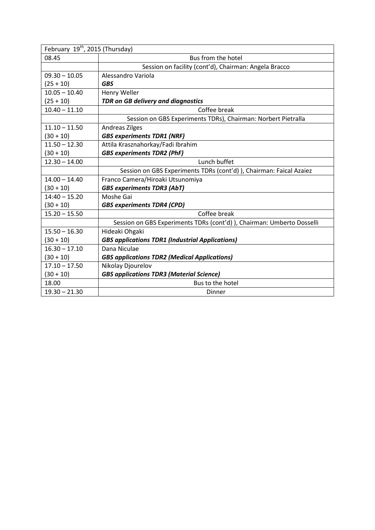| February 19 <sup>th</sup> , 2015 (Thursday) |                                                                        |  |
|---------------------------------------------|------------------------------------------------------------------------|--|
| 08.45                                       | Bus from the hotel                                                     |  |
|                                             | Session on facility (cont'd), Chairman: Angela Bracco                  |  |
| $09.30 - 10.05$                             | Alessandro Variola                                                     |  |
| $(25 + 10)$                                 | <b>GBS</b>                                                             |  |
| $10.05 - 10.40$                             | Henry Weller                                                           |  |
| $(25 + 10)$                                 | <b>TDR on GB delivery and diagnostics</b>                              |  |
| $10.40 - 11.10$                             | Coffee break                                                           |  |
|                                             | Session on GBS Experiments TDRs), Chairman: Norbert Pietralla          |  |
| $11.10 - 11.50$                             | <b>Andreas Zilges</b>                                                  |  |
| $(30 + 10)$                                 | <b>GBS experiments TDR1 (NRF)</b>                                      |  |
| $11.50 - 12.30$                             | Attila Krasznahorkay/Fadi Ibrahim                                      |  |
| $(30 + 10)$                                 | <b>GBS experiments TDR2 (PhF)</b>                                      |  |
| $12.30 - 14.00$                             | Lunch buffet                                                           |  |
|                                             | Session on GBS Experiments TDRs (cont'd) ), Chairman: Faical Azaiez    |  |
| $14.00 - 14.40$                             | Franco Camera/Hiroaki Utsunomiya                                       |  |
| $(30 + 10)$                                 | <b>GBS experiments TDR3 (AbT)</b>                                      |  |
| $14:40 - 15.20$                             | Moshe Gai                                                              |  |
| $(30 + 10)$                                 | <b>GBS experiments TDR4 (CPD)</b>                                      |  |
| $15.20 - 15.50$                             | Coffee break                                                           |  |
|                                             | Session on GBS Experiments TDRs (cont'd) ), Chairman: Umberto Dosselli |  |
| $15.50 - 16.30$                             | Hideaki Ohgaki                                                         |  |
| $(30 + 10)$                                 | <b>GBS applications TDR1 (Industrial Applications)</b>                 |  |
| $16.30 - 17.10$                             | Dana Niculae                                                           |  |
| $(30 + 10)$                                 | <b>GBS applications TDR2 (Medical Applications)</b>                    |  |
| $17.10 - 17.50$                             | Nikolay Djourelov                                                      |  |
| $(30 + 10)$                                 | <b>GBS applications TDR3 (Material Science)</b>                        |  |
| 18.00                                       | Bus to the hotel                                                       |  |
| $19.30 - 21.30$                             | Dinner                                                                 |  |